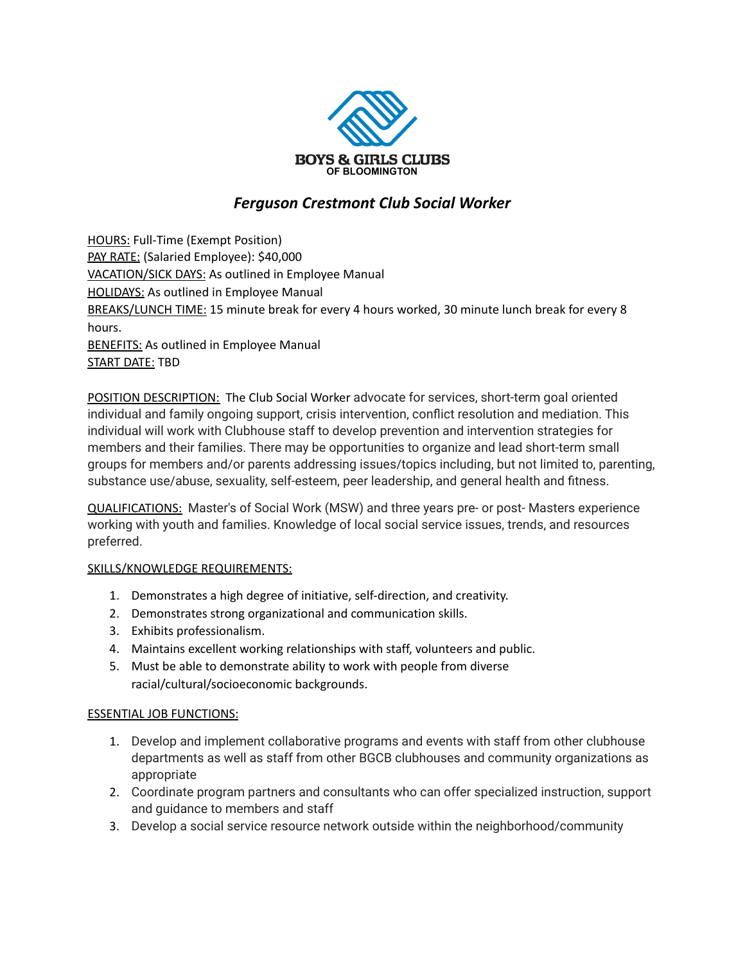

## *Ferguson Crestmont Club Social Worker*

HOURS: Full-Time (Exempt Position) PAY RATE: (Salaried Employee): \$40,000 VACATION/SICK DAYS: As outlined in Employee Manual **HOLIDAYS:** As outlined in Employee Manual BREAKS/LUNCH TIME: 15 minute break for every 4 hours worked, 30 minute lunch break for every 8 hours. **BENEFITS:** As outlined in Employee Manual

START DATE: TBD

POSITION DESCRIPTION: The Club Social Worker advocate for services, short-term goal oriented individual and family ongoing support, crisis intervention, conflict resolution and mediation. This individual will work with Clubhouse staff to develop prevention and intervention strategies for members and their families. There may be opportunities to organize and lead short-term small groups for members and/or parents addressing issues/topics including, but not limited to, parenting, substance use/abuse, sexuality, self-esteem, peer leadership, and general health and fitness.

QUALIFICATIONS: Master's of Social Work (MSW) and three years pre- or post- Masters experience working with youth and families. Knowledge of local social service issues, trends, and resources preferred.

## SKILLS/KNOWLEDGE REQUIREMENTS:

- 1. Demonstrates a high degree of initiative, self-direction, and creativity.
- 2. Demonstrates strong organizational and communication skills.
- 3. Exhibits professionalism.
- 4. Maintains excellent working relationships with staff, volunteers and public.
- 5. Must be able to demonstrate ability to work with people from diverse racial/cultural/socioeconomic backgrounds.

## ESSENTIAL JOB FUNCTIONS:

- 1. Develop and implement collaborative programs and events with staff from other clubhouse departments as well as staff from other BGCB clubhouses and community organizations as appropriate
- 2. Coordinate program partners and consultants who can offer specialized instruction, support and guidance to members and staff
- 3. Develop a social service resource network outside within the neighborhood/community